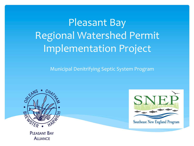Pleasant Bay Regional Watershed Permit Implementation Project

Municipal Denitrifying Septic System Program





**PLEASANT BAY ALLIANCE**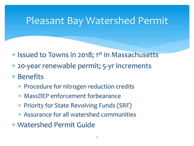### Pleasant Bay Watershed Permit

- \* Issued to Towns in 2018; 1st in Massachusetts
- \* 20-year renewable permit; 5-yr increments
- \* Benefits
	- \* Procedure for nitrogen reduction credits
	- \* MassDEP enforcement forbearance
	- \* Priority for State Revolving Funds (SRF)
	- \* Assurance for all watershed communities
- \* Watershed Permit Guide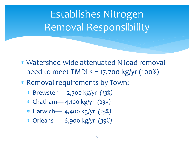Establishes Nitrogen Removal Responsibility

- \* Watershed-wide attenuated N load removal need to meet TMDLs = 17,700 kg/yr (100%)
- \* Removal requirements by Town:
	- \* Brewster— 2,300 kg/yr *(13%)*
	- \* Chatham— 4,100 kg/yr *(23%)*
	- \* Harwich— 4,400 kg/yr *(25%)*
	- \* Orleans— 6,900 kg/yr *(39%)*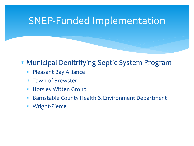#### SNEP-Funded Implementation

#### \* Municipal Denitrifying Septic System Program

- \* Pleasant Bay Alliance
- \* Town of Brewster
- \* Horsley Witten Group
- \* Barnstable County Health & Environment Department
- \* Wright-Pierce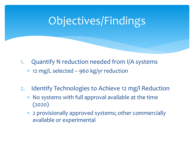- 1. Quantify N reduction needed from I/A systems \* 12 mg/L selected – 960 kg/yr reduction
- 2. Identify Technologies to Achieve 12 mg/l Reduction
	- No systems with full approval available at the time (2020)
	- \* 2 provisionally approved systems; other commercially available or experimental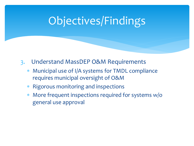- 3. Understand MassDEP O&M Requirements
	- \* Municipal use of I/A systems for TMDL compliance requires municipal oversight of O&M
	- \* Rigorous monitoring and inspections
	- \* More frequent inspections required for systems w/o general use approval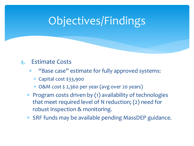#### 4. Estimate Costs

- \* "Base case" estimate for fully approved systems:
	- \* Capital cost \$33,900
	- \* O&M cost \$ 2,360 per year (avg over 20 years)
- \* Program costs driven by (1) availability of technologies that meet required level of N reduction; (2) need for robust inspection & monitoring.
- \* SRF funds may be available pending MassDEP guidance.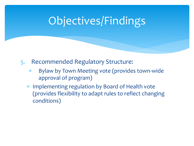- 5. Recommended Regulatory Structure:
	- \* Bylaw by Town Meeting vote (provides town-wide approval of program)
	- \* Implementing regulation by Board of Health vote (provides flexibility to adapt rules to reflect changing conditions)